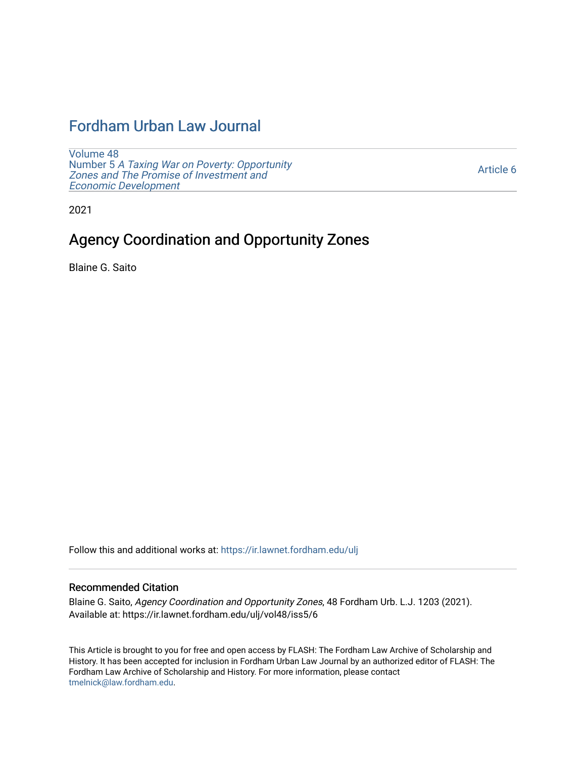# [Fordham Urban Law Journal](https://ir.lawnet.fordham.edu/ulj)

[Volume 48](https://ir.lawnet.fordham.edu/ulj/vol48) Number 5 [A Taxing War on Poverty: Opportunity](https://ir.lawnet.fordham.edu/ulj/vol48/iss5)  [Zones and The Promise of Investment and](https://ir.lawnet.fordham.edu/ulj/vol48/iss5)  [Economic Development](https://ir.lawnet.fordham.edu/ulj/vol48/iss5) 

[Article 6](https://ir.lawnet.fordham.edu/ulj/vol48/iss5/6) 

2021

# Agency Coordination and Opportunity Zones

Blaine G. Saito

Follow this and additional works at: [https://ir.lawnet.fordham.edu/ulj](https://ir.lawnet.fordham.edu/ulj?utm_source=ir.lawnet.fordham.edu%2Fulj%2Fvol48%2Fiss5%2F6&utm_medium=PDF&utm_campaign=PDFCoverPages) 

### Recommended Citation

Blaine G. Saito, Agency Coordination and Opportunity Zones, 48 Fordham Urb. L.J. 1203 (2021). Available at: https://ir.lawnet.fordham.edu/ulj/vol48/iss5/6

This Article is brought to you for free and open access by FLASH: The Fordham Law Archive of Scholarship and History. It has been accepted for inclusion in Fordham Urban Law Journal by an authorized editor of FLASH: The Fordham Law Archive of Scholarship and History. For more information, please contact [tmelnick@law.fordham.edu](mailto:tmelnick@law.fordham.edu).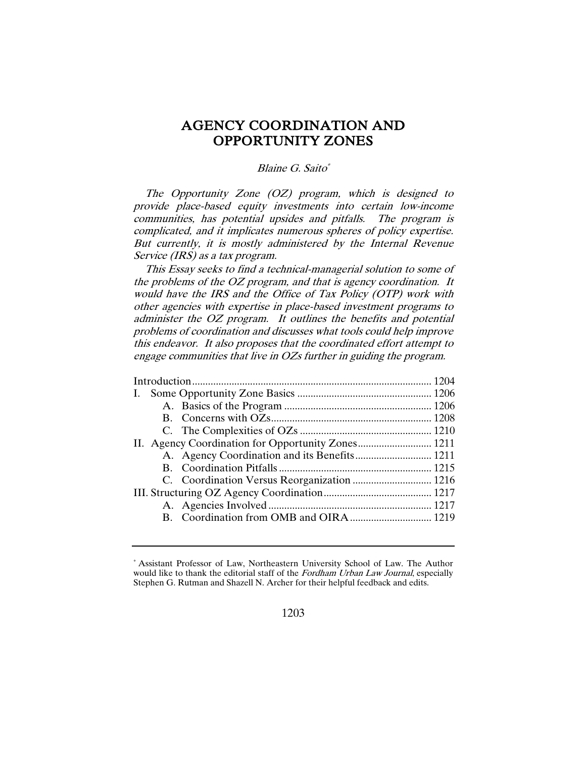# AGENCY COORDINATION AND OPPORTUNITY ZONES

# Blaine G. Saito\*

The Opportunity Zone (OZ) program, which is designed to provide place-based equity investments into certain low-income communities, has potential upsides and pitfalls. The program is complicated, and it implicates numerous spheres of policy expertise. But currently, it is mostly administered by the Internal Revenue Service (IRS) as a tax program.

This Essay seeks to find a technical-managerial solution to some of the problems of the OZ program, and that is agency coordination. It would have the IRS and the Office of Tax Policy (OTP) work with other agencies with expertise in place-based investment programs to administer the OZ program. It outlines the benefits and potential problems of coordination and discusses what tools could help improve this endeavor. It also proposes that the coordinated effort attempt to engage communities that live in OZs further in guiding the program.

| I. |  |  |
|----|--|--|
|    |  |  |
|    |  |  |
|    |  |  |
|    |  |  |
|    |  |  |
|    |  |  |
|    |  |  |
|    |  |  |
|    |  |  |
|    |  |  |
|    |  |  |

<sup>\*</sup> Assistant Professor of Law, Northeastern University School of Law. The Author would like to thank the editorial staff of the *Fordham Urban Law Journal*, especially Stephen G. Rutman and Shazell N. Archer for their helpful feedback and edits.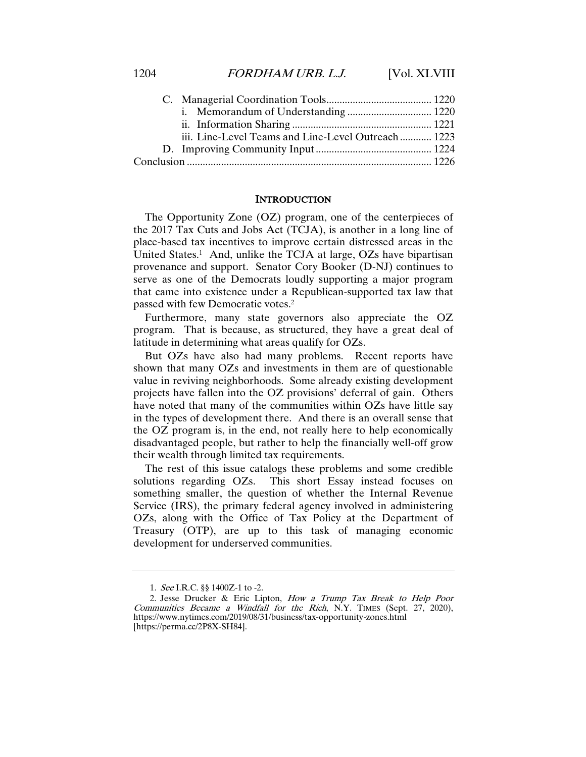|  | iii. Line-Level Teams and Line-Level Outreach 1223 |  |
|--|----------------------------------------------------|--|
|  |                                                    |  |
|  |                                                    |  |
|  |                                                    |  |

#### INTRODUCTION

The Opportunity Zone (OZ) program, one of the centerpieces of the 2017 Tax Cuts and Jobs Act (TCJA), is another in a long line of place-based tax incentives to improve certain distressed areas in the United States.<sup>1</sup> And, unlike the TCJA at large, OZs have bipartisan provenance and support. Senator Cory Booker (D-NJ) continues to serve as one of the Democrats loudly supporting a major program that came into existence under a Republican-supported tax law that passed with few Democratic votes.2

Furthermore, many state governors also appreciate the OZ program. That is because, as structured, they have a great deal of latitude in determining what areas qualify for OZs.

But OZs have also had many problems. Recent reports have shown that many OZs and investments in them are of questionable value in reviving neighborhoods. Some already existing development projects have fallen into the OZ provisions' deferral of gain. Others have noted that many of the communities within OZs have little say in the types of development there. And there is an overall sense that the OZ program is, in the end, not really here to help economically disadvantaged people, but rather to help the financially well-off grow their wealth through limited tax requirements.

The rest of this issue catalogs these problems and some credible solutions regarding OZs. This short Essay instead focuses on something smaller, the question of whether the Internal Revenue Service (IRS), the primary federal agency involved in administering OZs, along with the Office of Tax Policy at the Department of Treasury (OTP), are up to this task of managing economic development for underserved communities.

<sup>1</sup>. See I.R.C. §§ 1400Z-1 to -2.

<sup>2.</sup> Jesse Drucker & Eric Lipton, How a Trump Tax Break to Help Poor Communities Became a Windfall for the Rich, N.Y. TIMES (Sept. 27, 2020), https://www.nytimes.com/2019/08/31/business/tax-opportunity-zones.html [https://perma.cc/2P8X-SH84].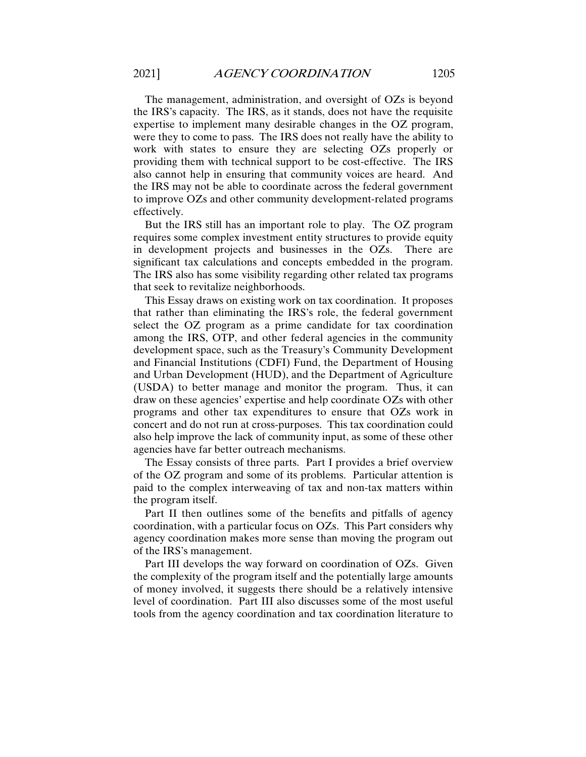The management, administration, and oversight of OZs is beyond the IRS's capacity. The IRS, as it stands, does not have the requisite expertise to implement many desirable changes in the OZ program, were they to come to pass. The IRS does not really have the ability to work with states to ensure they are selecting OZs properly or providing them with technical support to be cost-effective. The IRS also cannot help in ensuring that community voices are heard. And the IRS may not be able to coordinate across the federal government to improve OZs and other community development-related programs effectively.

But the IRS still has an important role to play. The OZ program requires some complex investment entity structures to provide equity in development projects and businesses in the OZs. There are significant tax calculations and concepts embedded in the program. The IRS also has some visibility regarding other related tax programs that seek to revitalize neighborhoods.

This Essay draws on existing work on tax coordination. It proposes that rather than eliminating the IRS's role, the federal government select the OZ program as a prime candidate for tax coordination among the IRS, OTP, and other federal agencies in the community development space, such as the Treasury's Community Development and Financial Institutions (CDFI) Fund, the Department of Housing and Urban Development (HUD), and the Department of Agriculture (USDA) to better manage and monitor the program. Thus, it can draw on these agencies' expertise and help coordinate OZs with other programs and other tax expenditures to ensure that OZs work in concert and do not run at cross-purposes. This tax coordination could also help improve the lack of community input, as some of these other agencies have far better outreach mechanisms.

The Essay consists of three parts. Part I provides a brief overview of the OZ program and some of its problems. Particular attention is paid to the complex interweaving of tax and non-tax matters within the program itself.

Part II then outlines some of the benefits and pitfalls of agency coordination, with a particular focus on OZs. This Part considers why agency coordination makes more sense than moving the program out of the IRS's management.

Part III develops the way forward on coordination of OZs. Given the complexity of the program itself and the potentially large amounts of money involved, it suggests there should be a relatively intensive level of coordination. Part III also discusses some of the most useful tools from the agency coordination and tax coordination literature to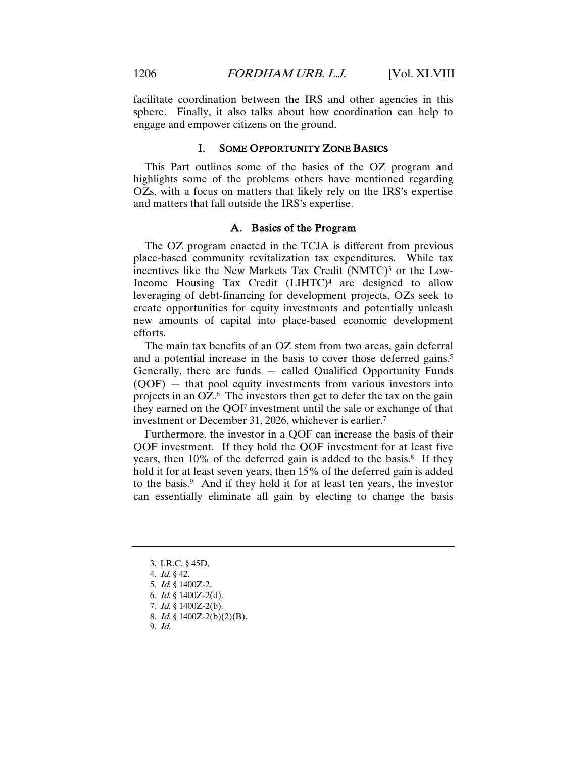facilitate coordination between the IRS and other agencies in this sphere. Finally, it also talks about how coordination can help to engage and empower citizens on the ground.

#### I. SOME OPPORTUNITY ZONE BASICS

This Part outlines some of the basics of the OZ program and highlights some of the problems others have mentioned regarding OZs, with a focus on matters that likely rely on the IRS's expertise and matters that fall outside the IRS's expertise.

# A. Basics of the Program

The OZ program enacted in the TCJA is different from previous place-based community revitalization tax expenditures. While tax incentives like the New Markets Tax Credit  $(NMTC)^3$  or the Low-Income Housing Tax Credit  $(LIHTC)^4$  are designed to allow leveraging of debt-financing for development projects, OZs seek to create opportunities for equity investments and potentially unleash new amounts of capital into place-based economic development efforts.

The main tax benefits of an OZ stem from two areas, gain deferral and a potential increase in the basis to cover those deferred gains.<sup>5</sup> Generally, there are funds — called Qualified Opportunity Funds (QOF) — that pool equity investments from various investors into projects in an OZ.6 The investors then get to defer the tax on the gain they earned on the QOF investment until the sale or exchange of that investment or December 31, 2026, whichever is earlier.7

Furthermore, the investor in a QOF can increase the basis of their QOF investment. If they hold the QOF investment for at least five years, then  $10\%$  of the deferred gain is added to the basis.<sup>8</sup> If they hold it for at least seven years, then 15% of the deferred gain is added to the basis.9 And if they hold it for at least ten years, the investor can essentially eliminate all gain by electing to change the basis

<sup>3.</sup> I.R.C. § 45D.

<sup>4</sup>. Id. § 42.

<sup>5</sup>. Id. § 1400Z-2.

<sup>6.</sup> *Id.* § 1400Z-2(d).

<sup>7</sup>. Id. § 1400Z-2(b).

<sup>8</sup>. Id. § 1400Z-2(b)(2)(B).

<sup>9</sup>. Id.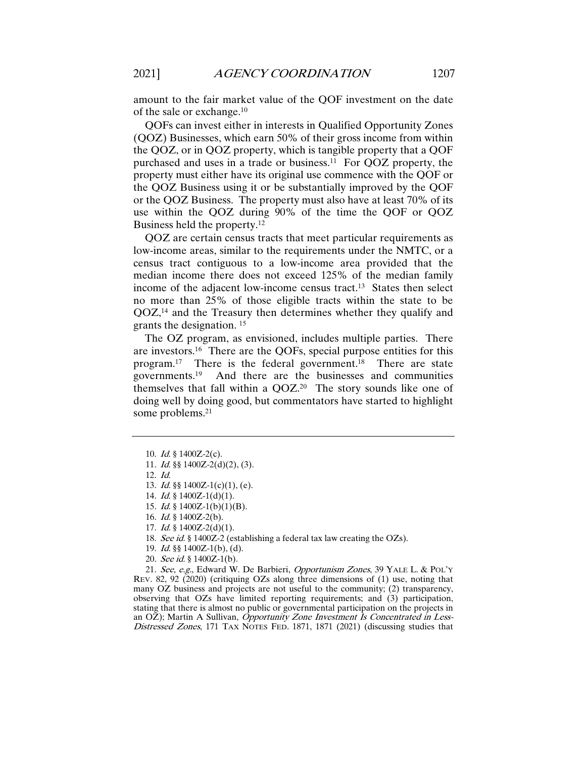amount to the fair market value of the QOF investment on the date of the sale or exchange.10

QOFs can invest either in interests in Qualified Opportunity Zones (QOZ) Businesses, which earn 50% of their gross income from within the QOZ, or in QOZ property, which is tangible property that a QOF purchased and uses in a trade or business.11 For QOZ property, the property must either have its original use commence with the QOF or the QOZ Business using it or be substantially improved by the QOF or the QOZ Business. The property must also have at least 70% of its use within the QOZ during 90% of the time the QOF or QOZ Business held the property.12

QOZ are certain census tracts that meet particular requirements as low-income areas, similar to the requirements under the NMTC, or a census tract contiguous to a low-income area provided that the median income there does not exceed 125% of the median family income of the adjacent low-income census tract.13 States then select no more than 25% of those eligible tracts within the state to be QOZ,14 and the Treasury then determines whether they qualify and grants the designation. <sup>15</sup>

The OZ program, as envisioned, includes multiple parties. There are investors.16 There are the QOFs, special purpose entities for this program.17 There is the federal government.18 There are state governments.19 And there are the businesses and communities themselves that fall within a  $QOZ<sup>20</sup>$  The story sounds like one of doing well by doing good, but commentators have started to highlight some problems.<sup>21</sup>

21. See, e.g., Edward W. De Barbieri, Opportunism Zones, 39 YALE L. & POL'Y REV. 82, 92 (2020) (critiquing OZs along three dimensions of (1) use, noting that many OZ business and projects are not useful to the community; (2) transparency, observing that OZs have limited reporting requirements; and (3) participation, stating that there is almost no public or governmental participation on the projects in an OZ); Martin A Sullivan, Opportunity Zone Investment Is Concentrated in Less-Distressed Zones, 171 TAX NOTES FED. 1871, 1871 (2021) (discussing studies that

<sup>10</sup>. Id. § 1400Z-2(c).

<sup>11</sup>. Id. §§ 1400Z-2(d)(2), (3).

<sup>12</sup>. Id.

<sup>13</sup>. Id. §§ 1400Z-1(c)(1), (e).

<sup>14.</sup> *Id.* § 1400Z-1(d)(1).

<sup>15.</sup> *Id.* § 1400Z-1(b)(1)(B).

<sup>16</sup>. Id. § 1400Z-2(b).

<sup>17</sup>. Id. § 1400Z-2(d)(1).

<sup>18</sup>. See id. § 1400Z-2 (establishing a federal tax law creating the OZs).

<sup>19</sup>. Id. §§ 1400Z-1(b), (d).

<sup>20</sup>. See id. § 1400Z-1(b).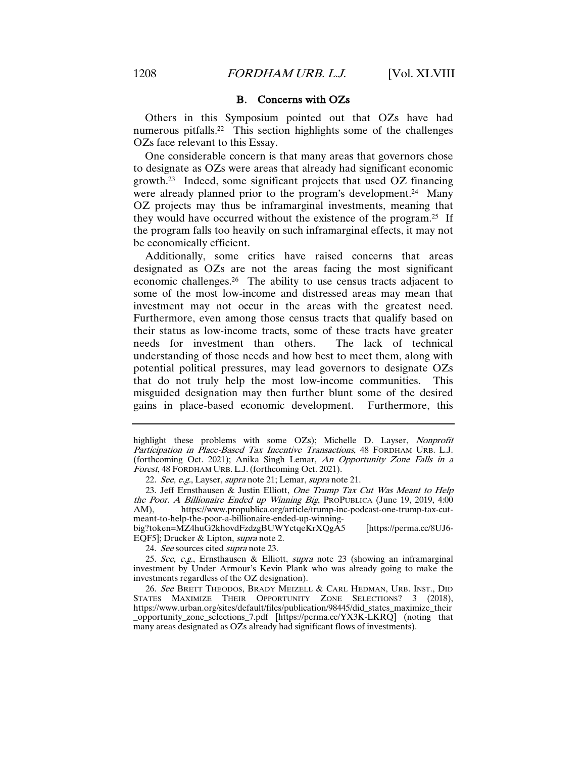### B. Concerns with OZs

Others in this Symposium pointed out that OZs have had numerous pitfalls.22 This section highlights some of the challenges OZs face relevant to this Essay.

One considerable concern is that many areas that governors chose to designate as OZs were areas that already had significant economic growth.23 Indeed, some significant projects that used OZ financing were already planned prior to the program's development.<sup>24</sup> Many OZ projects may thus be inframarginal investments, meaning that they would have occurred without the existence of the program.25 If the program falls too heavily on such inframarginal effects, it may not be economically efficient.

Additionally, some critics have raised concerns that areas designated as OZs are not the areas facing the most significant economic challenges.26 The ability to use census tracts adjacent to some of the most low-income and distressed areas may mean that investment may not occur in the areas with the greatest need. Furthermore, even among those census tracts that qualify based on their status as low-income tracts, some of these tracts have greater needs for investment than others. The lack of technical understanding of those needs and how best to meet them, along with potential political pressures, may lead governors to designate OZs that do not truly help the most low-income communities. This misguided designation may then further blunt some of the desired gains in place-based economic development. Furthermore, this

big?token=MZ4huG2khovdFzdzgBUWYctqeKrXQgA5 [https://perma.cc/8UJ6- EQF5]; Drucker & Lipton, supra note 2.

24. See sources cited supra note 23.

25. See, e.g., Ernsthausen & Elliott, supra note 23 (showing an inframarginal investment by Under Armour's Kevin Plank who was already going to make the investments regardless of the OZ designation).

26. See BRETT THEODOS, BRADY MEIZELL & CARL HEDMAN, URB. INST., DID STATES MAXIMIZE THEIR OPPORTUNITY ZONE SELECTIONS? 3 (2018), https://www.urban.org/sites/default/files/publication/98445/did\_states\_maximize\_their \_opportunity\_zone\_selections\_7.pdf [https://perma.cc/YX3K-LKRQ] (noting that many areas designated as OZs already had significant flows of investments).

highlight these problems with some OZs); Michelle D. Layser, Nonprofit Participation in Place-Based Tax Incentive Transactions, 48 FORDHAM URB. L.J. (forthcoming Oct. 2021); Anika Singh Lemar, An Opportunity Zone Falls in a Forest, 48 FORDHAM URB. L.J.(forthcoming Oct. 2021).

<sup>22</sup>. See, e.g., Layser, supra note 21; Lemar, supra note 21.

<sup>23.</sup> Jeff Ernsthausen & Justin Elliott, One Trump Tax Cut Was Meant to Help the Poor. A Billionaire Ended up Winning Big, PROPUBLICA (June 19, 2019, 4:00 AM), https://www.propublica.org/article/trump-inc-podcast-one-trump-tax-cuthttps://www.propublica.org/article/trump-inc-podcast-one-trump-tax-cutmeant-to-help-the-poor-a-billionaire-ended-up-winning-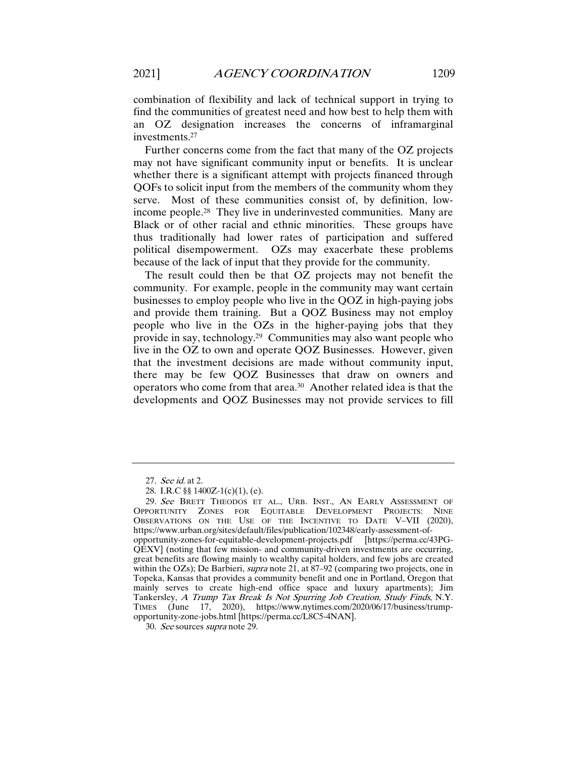combination of flexibility and lack of technical support in trying to find the communities of greatest need and how best to help them with an OZ designation increases the concerns of inframarginal investments.27

Further concerns come from the fact that many of the OZ projects may not have significant community input or benefits. It is unclear whether there is a significant attempt with projects financed through QOFs to solicit input from the members of the community whom they serve. Most of these communities consist of, by definition, lowincome people.28 They live in underinvested communities. Many are Black or of other racial and ethnic minorities. These groups have thus traditionally had lower rates of participation and suffered political disempowerment. OZs may exacerbate these problems because of the lack of input that they provide for the community.

The result could then be that OZ projects may not benefit the community. For example, people in the community may want certain businesses to employ people who live in the QOZ in high-paying jobs and provide them training. But a QOZ Business may not employ people who live in the OZs in the higher-paying jobs that they provide in say, technology.29 Communities may also want people who live in the OZ to own and operate QOZ Businesses. However, given that the investment decisions are made without community input, there may be few QOZ Businesses that draw on owners and operators who come from that area.30 Another related idea is that the developments and QOZ Businesses may not provide services to fill

<sup>27</sup>. See id. at 2.

<sup>28.</sup> I.R.C §§ 1400Z-1(c)(1), (e).

<sup>29</sup>. See BRETT THEODOS ET AL., URB. INST., AN EARLY ASSESSMENT OF OPPORTUNITY ZONES FOR EQUITABLE DEVELOPMENT PROJECTS: NINE OBSERVATIONS ON THE USE OF THE INCENTIVE TO DATE V–VII (2020), https://www.urban.org/sites/default/files/publication/102348/early-assessment-ofopportunity-zones-for-equitable-development-projects.pdf [https://perma.cc/43PG-QEXV] (noting that few mission- and community-driven investments are occurring, great benefits are flowing mainly to wealthy capital holders, and few jobs are created within the OZs); De Barbieri, *supra* note 21, at  $87-92$  (comparing two projects, one in Topeka, Kansas that provides a community benefit and one in Portland, Oregon that mainly serves to create high-end office space and luxury apartments); Jim Tankersley, A Trump Tax Break Is Not Spurring Job Creation, Study Finds, N.Y. TIMES (June 17, 2020), https://www.nytimes.com/2020/06/17/business/trumpopportunity-zone-jobs.html [https://perma.cc/L8C5-4NAN].

<sup>30</sup>. See sources supra note 29.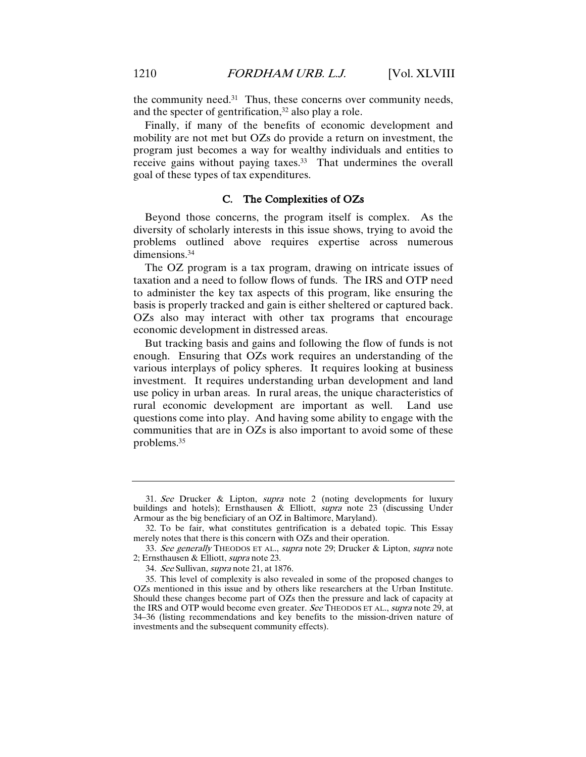the community need. $31$  Thus, these concerns over community needs, and the specter of gentrification,<sup>32</sup> also play a role.

Finally, if many of the benefits of economic development and mobility are not met but OZs do provide a return on investment, the program just becomes a way for wealthy individuals and entities to receive gains without paying taxes.<sup>33</sup> That undermines the overall goal of these types of tax expenditures.

# C. The Complexities of OZs

Beyond those concerns, the program itself is complex. As the diversity of scholarly interests in this issue shows, trying to avoid the problems outlined above requires expertise across numerous dimensions.34

The OZ program is a tax program, drawing on intricate issues of taxation and a need to follow flows of funds. The IRS and OTP need to administer the key tax aspects of this program, like ensuring the basis is properly tracked and gain is either sheltered or captured back. OZs also may interact with other tax programs that encourage economic development in distressed areas.

But tracking basis and gains and following the flow of funds is not enough. Ensuring that OZs work requires an understanding of the various interplays of policy spheres. It requires looking at business investment. It requires understanding urban development and land use policy in urban areas. In rural areas, the unique characteristics of rural economic development are important as well. Land use questions come into play. And having some ability to engage with the communities that are in OZs is also important to avoid some of these problems.35

<sup>31</sup>. See Drucker & Lipton, supra note 2 (noting developments for luxury buildings and hotels); Ernsthausen & Elliott, *supra* note 23 (discussing Under Armour as the big beneficiary of an OZ in Baltimore, Maryland).

<sup>32.</sup> To be fair, what constitutes gentrification is a debated topic. This Essay merely notes that there is this concern with OZs and their operation.

<sup>33.</sup> See generally THEODOS ET AL., supra note 29; Drucker & Lipton, supra note 2; Ernsthausen & Elliott, supra note 23.

<sup>34</sup>. See Sullivan, supra note 21, at 1876.

<sup>35.</sup> This level of complexity is also revealed in some of the proposed changes to OZs mentioned in this issue and by others like researchers at the Urban Institute. Should these changes become part of OZs then the pressure and lack of capacity at the IRS and OTP would become even greater. See THEODOS ET AL., supra note 29, at 34–36 (listing recommendations and key benefits to the mission-driven nature of investments and the subsequent community effects).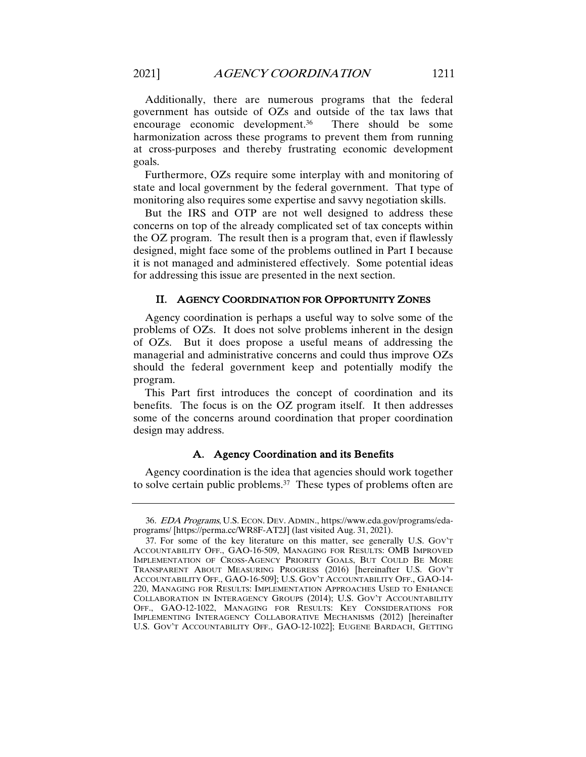Additionally, there are numerous programs that the federal government has outside of OZs and outside of the tax laws that encourage economic development.36 There should be some harmonization across these programs to prevent them from running at cross-purposes and thereby frustrating economic development goals.

Furthermore, OZs require some interplay with and monitoring of state and local government by the federal government. That type of monitoring also requires some expertise and savvy negotiation skills.

But the IRS and OTP are not well designed to address these concerns on top of the already complicated set of tax concepts within the OZ program. The result then is a program that, even if flawlessly designed, might face some of the problems outlined in Part I because it is not managed and administered effectively. Some potential ideas for addressing this issue are presented in the next section.

## II. AGENCY COORDINATION FOR OPPORTUNITY ZONES

Agency coordination is perhaps a useful way to solve some of the problems of OZs. It does not solve problems inherent in the design of OZs. But it does propose a useful means of addressing the managerial and administrative concerns and could thus improve OZs should the federal government keep and potentially modify the program.

This Part first introduces the concept of coordination and its benefits. The focus is on the OZ program itself. It then addresses some of the concerns around coordination that proper coordination design may address.

# A. Agency Coordination and its Benefits

Agency coordination is the idea that agencies should work together to solve certain public problems.37 These types of problems often are

<sup>36</sup>. EDA Programs, U.S. ECON. DEV. ADMIN., https://www.eda.gov/programs/edaprograms/ [https://perma.cc/WR8F-AT2J] (last visited Aug. 31, 2021).

<sup>37.</sup> For some of the key literature on this matter, see generally U.S. GOV'T ACCOUNTABILITY OFF., GAO-16-509, MANAGING FOR RESULTS: OMB IMPROVED IMPLEMENTATION OF CROSS-AGENCY PRIORITY GOALS, BUT COULD BE MORE TRANSPARENT ABOUT MEASURING PROGRESS (2016) [hereinafter U.S. GOV'T ACCOUNTABILITY OFF., GAO-16-509]; U.S. GOV'T ACCOUNTABILITY OFF., GAO-14- 220, MANAGING FOR RESULTS: IMPLEMENTATION APPROACHES USED TO ENHANCE COLLABORATION IN INTERAGENCY GROUPS (2014); U.S. GOV'T ACCOUNTABILITY OFF., GAO-12-1022, MANAGING FOR RESULTS: KEY CONSIDERATIONS FOR IMPLEMENTING INTERAGENCY COLLABORATIVE MECHANISMS (2012) [hereinafter U.S. GOV'T ACCOUNTABILITY OFF., GAO-12-1022]; EUGENE BARDACH, GETTING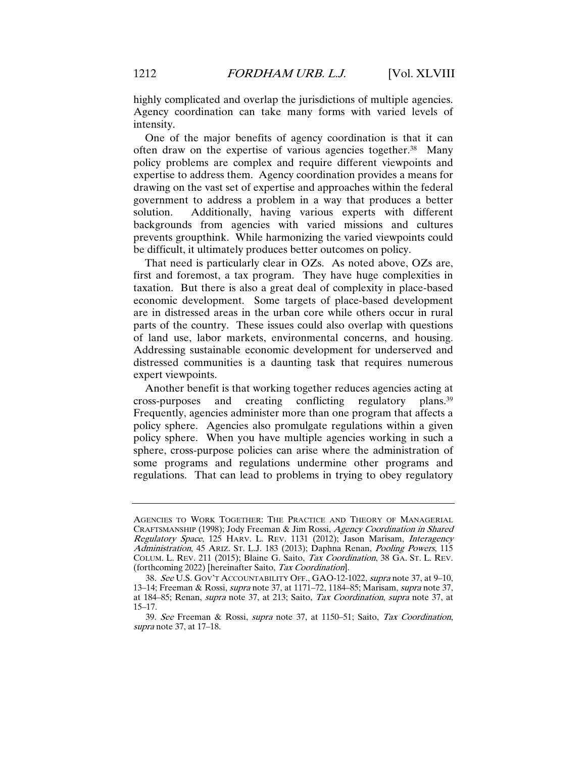highly complicated and overlap the jurisdictions of multiple agencies. Agency coordination can take many forms with varied levels of intensity.

One of the major benefits of agency coordination is that it can often draw on the expertise of various agencies together.38 Many policy problems are complex and require different viewpoints and expertise to address them. Agency coordination provides a means for drawing on the vast set of expertise and approaches within the federal government to address a problem in a way that produces a better solution. Additionally, having various experts with different backgrounds from agencies with varied missions and cultures prevents groupthink. While harmonizing the varied viewpoints could be difficult, it ultimately produces better outcomes on policy.

That need is particularly clear in OZs. As noted above, OZs are, first and foremost, a tax program. They have huge complexities in taxation. But there is also a great deal of complexity in place-based economic development. Some targets of place-based development are in distressed areas in the urban core while others occur in rural parts of the country. These issues could also overlap with questions of land use, labor markets, environmental concerns, and housing. Addressing sustainable economic development for underserved and distressed communities is a daunting task that requires numerous expert viewpoints.

Another benefit is that working together reduces agencies acting at cross-purposes and creating conflicting regulatory plans.39 Frequently, agencies administer more than one program that affects a policy sphere. Agencies also promulgate regulations within a given policy sphere. When you have multiple agencies working in such a sphere, cross-purpose policies can arise where the administration of some programs and regulations undermine other programs and regulations. That can lead to problems in trying to obey regulatory

AGENCIES TO WORK TOGETHER: THE PRACTICE AND THEORY OF MANAGERIAL CRAFTSMANSHIP (1998); Jody Freeman & Jim Rossi, Agency Coordination in Shared Regulatory Space, 125 HARV. L. REV. 1131 (2012); Jason Marisam, Interagency Administration, 45 ARIZ. ST. L.J. 183 (2013); Daphna Renan, Pooling Powers, 115 COLUM. L. REV. 211 (2015); Blaine G. Saito, Tax Coordination, 38 GA. ST. L. REV. (forthcoming 2022) [hereinafter Saito, Tax Coordination].

<sup>38</sup>. See U.S. GOV'T ACCOUNTABILITY OFF., GAO-12-1022, supra note 37, at 9–10, 13–14; Freeman & Rossi, supra note 37, at 1171–72, 1184–85; Marisam, supra note 37, at 184–85; Renan, supra note 37, at 213; Saito, Tax Coordination, supra note 37, at 15–17.

<sup>39</sup>. See Freeman & Rossi, supra note 37, at 1150–51; Saito, Tax Coordination, supra note 37, at 17–18.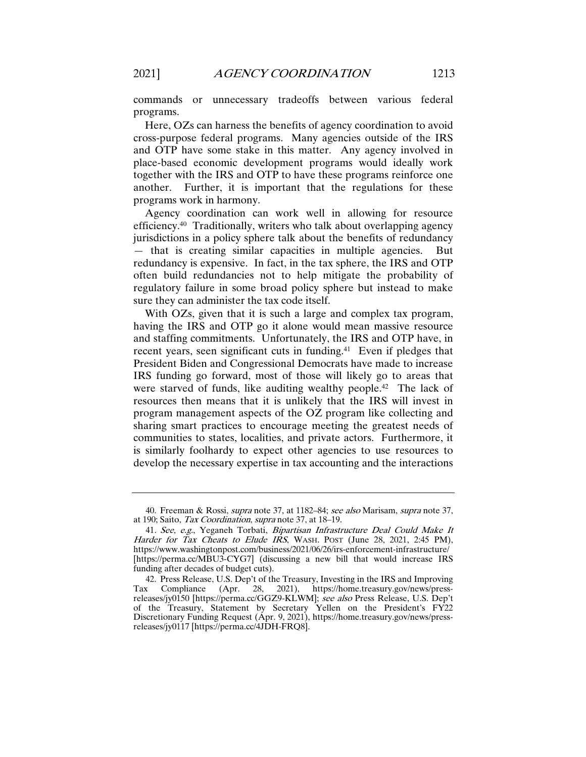commands or unnecessary tradeoffs between various federal programs.

Here, OZs can harness the benefits of agency coordination to avoid cross-purpose federal programs. Many agencies outside of the IRS and OTP have some stake in this matter. Any agency involved in place-based economic development programs would ideally work together with the IRS and OTP to have these programs reinforce one another. Further, it is important that the regulations for these programs work in harmony.

Agency coordination can work well in allowing for resource efficiency.40 Traditionally, writers who talk about overlapping agency jurisdictions in a policy sphere talk about the benefits of redundancy — that is creating similar capacities in multiple agencies. But redundancy is expensive. In fact, in the tax sphere, the IRS and OTP often build redundancies not to help mitigate the probability of regulatory failure in some broad policy sphere but instead to make sure they can administer the tax code itself.

With OZs, given that it is such a large and complex tax program, having the IRS and OTP go it alone would mean massive resource and staffing commitments. Unfortunately, the IRS and OTP have, in recent years, seen significant cuts in funding.41 Even if pledges that President Biden and Congressional Democrats have made to increase IRS funding go forward, most of those will likely go to areas that were starved of funds, like auditing wealthy people.<sup>42</sup> The lack of resources then means that it is unlikely that the IRS will invest in program management aspects of the OZ program like collecting and sharing smart practices to encourage meeting the greatest needs of communities to states, localities, and private actors. Furthermore, it is similarly foolhardy to expect other agencies to use resources to develop the necessary expertise in tax accounting and the interactions

<sup>40.</sup> Freeman & Rossi, *supra* note 37, at 1182–84; see also Marisam, supra note 37, at 190; Saito, Tax Coordination, supra note 37, at 18–19.

<sup>41</sup>. See, e.g., Yeganeh Torbati, Bipartisan Infrastructure Deal Could Make It Harder for Tax Cheats to Elude IRS, WASH. POST (June 28, 2021, 2:45 PM), https://www.washingtonpost.com/business/2021/06/26/irs-enforcement-infrastructure/ [https://perma.cc/MBU3-CYG7] (discussing a new bill that would increase IRS funding after decades of budget cuts).

<sup>42.</sup> Press Release, U.S. Dep't of the Treasury, Investing in the IRS and Improving Tax Compliance (Apr. 28, 2021), https://home.treasury.gov/news/pressreleases/jy0150 [https://perma.cc/GGZ9-KLWM]; see also Press Release, U.S. Dep't of the Treasury, Statement by Secretary Yellen on the President's FY22 Discretionary Funding Request (Apr. 9, 2021), https://home.treasury.gov/news/pressreleases/jy0117 [https://perma.cc/4JDH-FRQ8].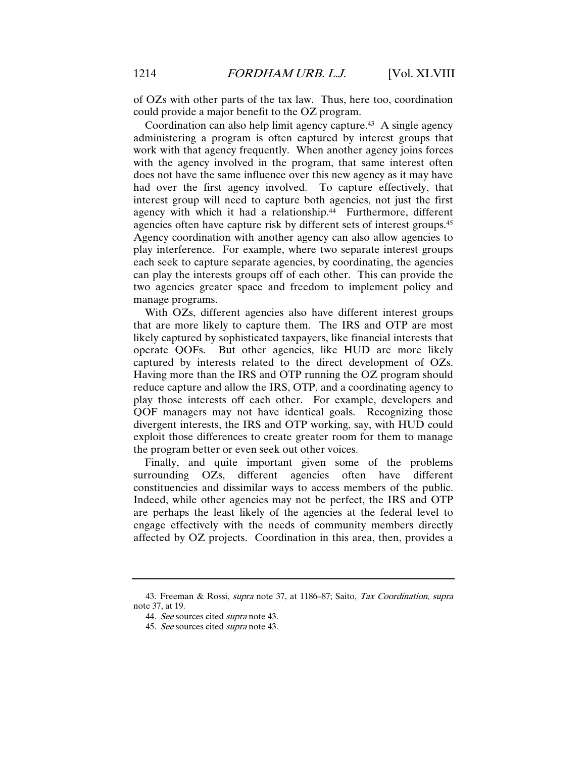of OZs with other parts of the tax law. Thus, here too, coordination could provide a major benefit to the OZ program.

Coordination can also help limit agency capture.43 A single agency administering a program is often captured by interest groups that work with that agency frequently. When another agency joins forces with the agency involved in the program, that same interest often does not have the same influence over this new agency as it may have had over the first agency involved. To capture effectively, that interest group will need to capture both agencies, not just the first agency with which it had a relationship.<sup>44</sup> Furthermore, different agencies often have capture risk by different sets of interest groups.45 Agency coordination with another agency can also allow agencies to play interference. For example, where two separate interest groups each seek to capture separate agencies, by coordinating, the agencies can play the interests groups off of each other. This can provide the two agencies greater space and freedom to implement policy and manage programs.

With OZs, different agencies also have different interest groups that are more likely to capture them. The IRS and OTP are most likely captured by sophisticated taxpayers, like financial interests that operate QOFs. But other agencies, like HUD are more likely captured by interests related to the direct development of OZs. Having more than the IRS and OTP running the OZ program should reduce capture and allow the IRS, OTP, and a coordinating agency to play those interests off each other. For example, developers and QOF managers may not have identical goals. Recognizing those divergent interests, the IRS and OTP working, say, with HUD could exploit those differences to create greater room for them to manage the program better or even seek out other voices.

Finally, and quite important given some of the problems surrounding OZs, different agencies often have different constituencies and dissimilar ways to access members of the public. Indeed, while other agencies may not be perfect, the IRS and OTP are perhaps the least likely of the agencies at the federal level to engage effectively with the needs of community members directly affected by OZ projects. Coordination in this area, then, provides a

<sup>43.</sup> Freeman & Rossi, supra note 37, at 1186–87; Saito, Tax Coordination, supra note 37, at 19.

<sup>44</sup>. See sources cited supra note 43.

<sup>45</sup>. See sources cited supra note 43.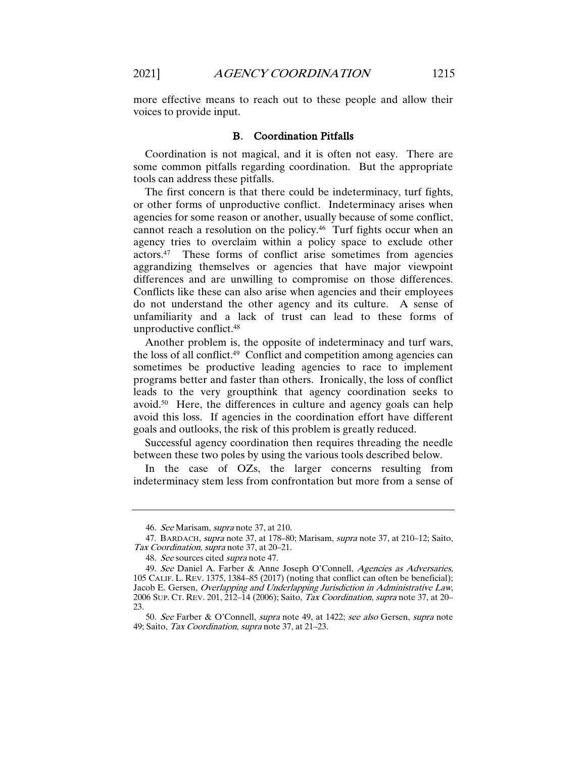more effective means to reach out to these people and allow their voices to provide input.

#### B. Coordination Pitfalls

Coordination is not magical, and it is often not easy. There are some common pitfalls regarding coordination. But the appropriate tools can address these pitfalls.

The first concern is that there could be indeterminacy, turf fights, or other forms of unproductive conflict. Indeterminacy arises when agencies for some reason or another, usually because of some conflict, cannot reach a resolution on the policy. 46 Turf fights occur when an agency tries to overclaim within a policy space to exclude other actors.47 These forms of conflict arise sometimes from agencies aggrandizing themselves or agencies that have major viewpoint differences and are unwilling to compromise on those differences. Conflicts like these can also arise when agencies and their employees do not understand the other agency and its culture. A sense of unfamiliarity and a lack of trust can lead to these forms of unproductive conflict.48

Another problem is, the opposite of indeterminacy and turf wars, the loss of all conflict.49 Conflict and competition among agencies can sometimes be productive leading agencies to race to implement programs better and faster than others. Ironically, the loss of conflict leads to the very groupthink that agency coordination seeks to avoid.50 Here, the differences in culture and agency goals can help avoid this loss. If agencies in the coordination effort have different goals and outlooks, the risk of this problem is greatly reduced.

Successful agency coordination then requires threading the needle between these two poles by using the various tools described below.

In the case of OZs, the larger concerns resulting from indeterminacy stem less from confrontation but more from a sense of

<sup>46</sup>. See Marisam, supra note 37, at 210.

<sup>47.</sup> BARDACH, supra note 37, at 178–80; Marisam, supra note 37, at 210–12; Saito, Tax Coordination, supra note 37, at 20-21.

<sup>48.</sup> See sources cited *supra* note 47.

<sup>49.</sup> See Daniel A. Farber & Anne Joseph O'Connell, Agencies as Adversaries, 105 CALIF. L. REV. 1375, 1384–85 (2017) (noting that conflict can often be beneficial); Jacob E. Gersen, Overlapping and Underlapping Jurisdiction in Administrative Law, 2006 SUP. CT. REV. 201, 212–14 (2006); Saito, Tax Coordination, supra note 37, at 20– 23.

<sup>50</sup>. See Farber & O'Connell, supra note 49, at 1422; see also Gersen, supra note 49; Saito, Tax Coordination, supra note 37, at 21–23.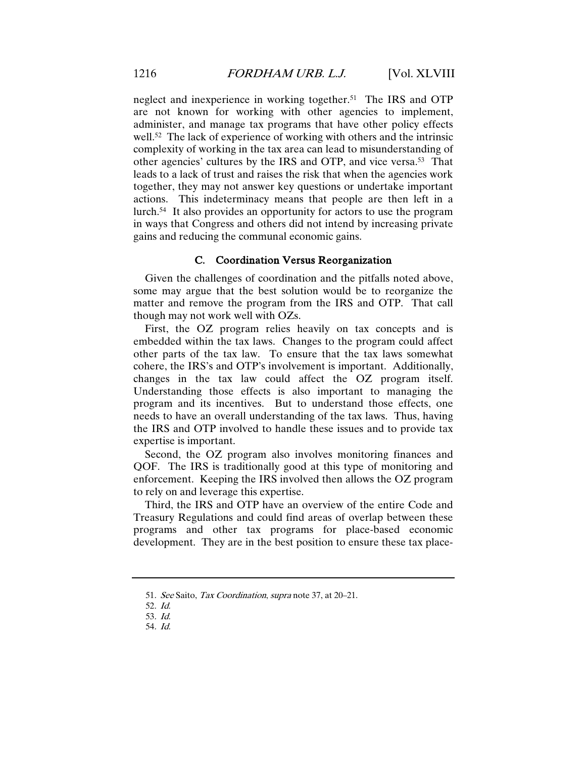neglect and inexperience in working together.<sup>51</sup> The IRS and OTP are not known for working with other agencies to implement, administer, and manage tax programs that have other policy effects well.<sup>52</sup> The lack of experience of working with others and the intrinsic complexity of working in the tax area can lead to misunderstanding of other agencies' cultures by the IRS and OTP, and vice versa.53 That leads to a lack of trust and raises the risk that when the agencies work together, they may not answer key questions or undertake important actions. This indeterminacy means that people are then left in a lurch.54 It also provides an opportunity for actors to use the program in ways that Congress and others did not intend by increasing private gains and reducing the communal economic gains.

# C. Coordination Versus Reorganization

Given the challenges of coordination and the pitfalls noted above, some may argue that the best solution would be to reorganize the matter and remove the program from the IRS and OTP. That call though may not work well with OZs.

First, the OZ program relies heavily on tax concepts and is embedded within the tax laws. Changes to the program could affect other parts of the tax law. To ensure that the tax laws somewhat cohere, the IRS's and OTP's involvement is important. Additionally, changes in the tax law could affect the OZ program itself. Understanding those effects is also important to managing the program and its incentives. But to understand those effects, one needs to have an overall understanding of the tax laws. Thus, having the IRS and OTP involved to handle these issues and to provide tax expertise is important.

Second, the OZ program also involves monitoring finances and QOF. The IRS is traditionally good at this type of monitoring and enforcement. Keeping the IRS involved then allows the OZ program to rely on and leverage this expertise.

Third, the IRS and OTP have an overview of the entire Code and Treasury Regulations and could find areas of overlap between these programs and other tax programs for place-based economic development. They are in the best position to ensure these tax place-

<sup>51</sup>. See Saito, Tax Coordination, supra note 37, at 20–21.

<sup>52</sup>. Id.

<sup>53</sup>. Id.

<sup>54</sup>. Id.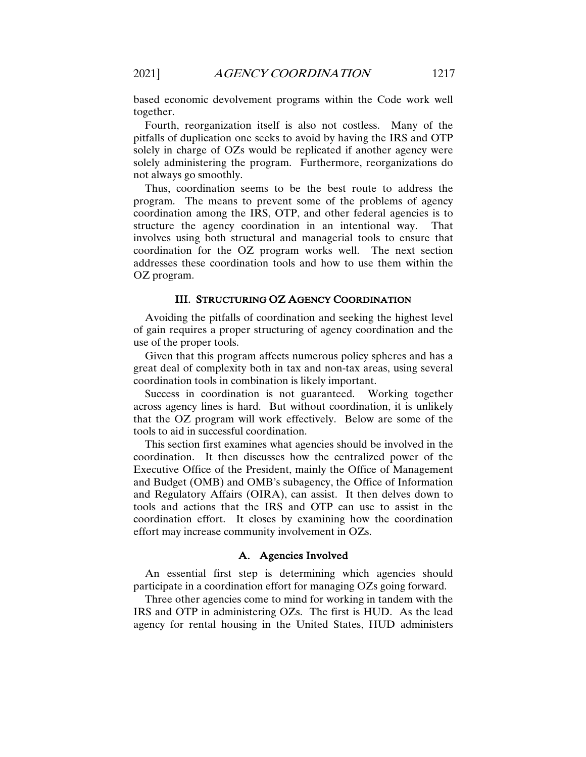based economic devolvement programs within the Code work well together.

Fourth, reorganization itself is also not costless. Many of the pitfalls of duplication one seeks to avoid by having the IRS and OTP solely in charge of OZs would be replicated if another agency were solely administering the program. Furthermore, reorganizations do not always go smoothly.

Thus, coordination seems to be the best route to address the program. The means to prevent some of the problems of agency coordination among the IRS, OTP, and other federal agencies is to structure the agency coordination in an intentional way. That involves using both structural and managerial tools to ensure that coordination for the OZ program works well. The next section addresses these coordination tools and how to use them within the OZ program.

# III. STRUCTURING OZ AGENCY COORDINATION

Avoiding the pitfalls of coordination and seeking the highest level of gain requires a proper structuring of agency coordination and the use of the proper tools.

Given that this program affects numerous policy spheres and has a great deal of complexity both in tax and non-tax areas, using several coordination tools in combination is likely important.

Success in coordination is not guaranteed. Working together across agency lines is hard. But without coordination, it is unlikely that the OZ program will work effectively. Below are some of the tools to aid in successful coordination.

This section first examines what agencies should be involved in the coordination. It then discusses how the centralized power of the Executive Office of the President, mainly the Office of Management and Budget (OMB) and OMB's subagency, the Office of Information and Regulatory Affairs (OIRA), can assist. It then delves down to tools and actions that the IRS and OTP can use to assist in the coordination effort. It closes by examining how the coordination effort may increase community involvement in OZs.

### A. Agencies Involved

An essential first step is determining which agencies should participate in a coordination effort for managing OZs going forward.

Three other agencies come to mind for working in tandem with the IRS and OTP in administering OZs. The first is HUD. As the lead agency for rental housing in the United States, HUD administers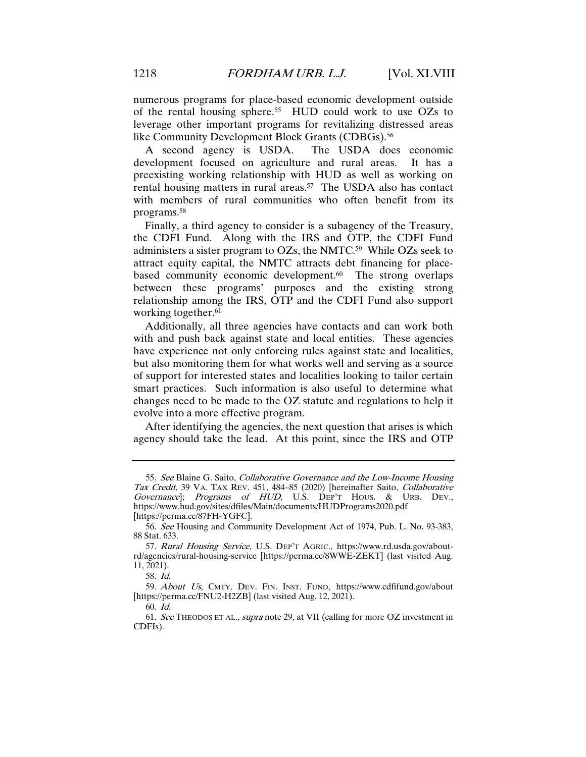numerous programs for place-based economic development outside of the rental housing sphere.55 HUD could work to use OZs to leverage other important programs for revitalizing distressed areas like Community Development Block Grants (CDBGs).<sup>56</sup>

A second agency is USDA. The USDA does economic development focused on agriculture and rural areas. It has a preexisting working relationship with HUD as well as working on rental housing matters in rural areas.57 The USDA also has contact with members of rural communities who often benefit from its programs.58

Finally, a third agency to consider is a subagency of the Treasury, the CDFI Fund. Along with the IRS and OTP, the CDFI Fund administers a sister program to OZs, the NMTC.59 While OZs seek to attract equity capital, the NMTC attracts debt financing for placebased community economic development.<sup>60</sup> The strong overlaps between these programs' purposes and the existing strong relationship among the IRS, OTP and the CDFI Fund also support working together.<sup>61</sup>

Additionally, all three agencies have contacts and can work both with and push back against state and local entities. These agencies have experience not only enforcing rules against state and localities, but also monitoring them for what works well and serving as a source of support for interested states and localities looking to tailor certain smart practices. Such information is also useful to determine what changes need to be made to the OZ statute and regulations to help it evolve into a more effective program.

After identifying the agencies, the next question that arises is which agency should take the lead. At this point, since the IRS and OTP

<sup>55.</sup> See Blaine G. Saito, Collaborative Governance and the Low-Income Housing Tax Credit, 39 VA. TAX REV. 451, 484–85 (2020) [hereinafter Saito, Collaborative Governance); Programs of HUD, U.S. DEP'T HOUS. & URB. DEV., https://www.hud.gov/sites/dfiles/Main/documents/HUDPrograms2020.pdf [https://perma.cc/87FH-YGFC].

<sup>56</sup>. See Housing and Community Development Act of 1974, Pub. L. No. 93-383, 88 Stat. 633.

<sup>57.</sup> Rural Housing Service, U.S. DEP'T AGRIC., https://www.rd.usda.gov/aboutrd/agencies/rural-housing-service [https://perma.cc/8WWE-ZEKT] (last visited Aug. 11, 2021).

<sup>58</sup>. Id.

<sup>59.</sup> About Us, CMTY. DEV. FIN. INST. FUND, https://www.cdfifund.gov/about [https://perma.cc/FNU2-H2ZB] (last visited Aug. 12, 2021).

<sup>60</sup>. Id.

<sup>61</sup>. See THEODOS ET AL., supra note 29, at VII (calling for more OZ investment in CDFIs).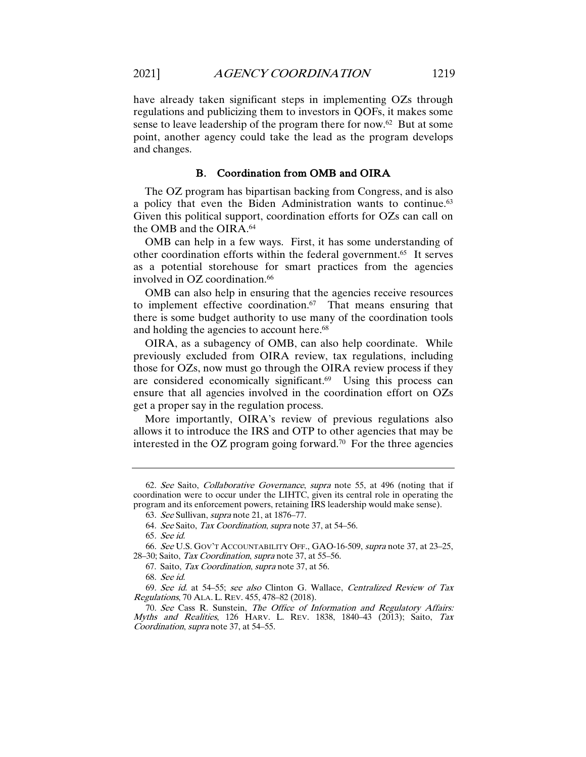have already taken significant steps in implementing OZs through regulations and publicizing them to investors in QOFs, it makes some sense to leave leadership of the program there for now.62 But at some point, another agency could take the lead as the program develops and changes.

# B. Coordination from OMB and OIRA

The OZ program has bipartisan backing from Congress, and is also a policy that even the Biden Administration wants to continue.<sup>63</sup> Given this political support, coordination efforts for OZs can call on the OMB and the OIRA.64

OMB can help in a few ways. First, it has some understanding of other coordination efforts within the federal government.65 It serves as a potential storehouse for smart practices from the agencies involved in OZ coordination.<sup>66</sup>

OMB can also help in ensuring that the agencies receive resources to implement effective coordination.<sup>67</sup> That means ensuring that there is some budget authority to use many of the coordination tools and holding the agencies to account here.<sup>68</sup>

OIRA, as a subagency of OMB, can also help coordinate. While previously excluded from OIRA review, tax regulations, including those for OZs, now must go through the OIRA review process if they are considered economically significant.69 Using this process can ensure that all agencies involved in the coordination effort on OZs get a proper say in the regulation process.

More importantly, OIRA's review of previous regulations also allows it to introduce the IRS and OTP to other agencies that may be interested in the OZ program going forward.<sup>70</sup> For the three agencies

<sup>62</sup>. See Saito, Collaborative Governance, supra note 55, at 496 (noting that if coordination were to occur under the LIHTC, given its central role in operating the program and its enforcement powers, retaining IRS leadership would make sense).

<sup>63</sup>. See Sullivan, supra note 21, at 1876–77.

<sup>64</sup>. See Saito, Tax Coordination, supra note 37, at 54–56.

<sup>65</sup>. See id.

<sup>66</sup>. See U.S. GOV'T ACCOUNTABILITY OFF., GAO-16-509, supra note 37, at 23–25, 28-30; Saito, Tax Coordination, supra note 37, at 55-56.

<sup>67.</sup> Saito, Tax Coordination, supra note 37, at 56.

<sup>68</sup>. See id.

<sup>69</sup>. See id. at 54–55; see also Clinton G. Wallace, Centralized Review of Tax Regulations, 70 ALA. L. REV. 455, 478–82 (2018).

<sup>70</sup>. See Cass R. Sunstein, The Office of Information and Regulatory Affairs: Myths and Realities, 126 HARV. L. REV. 1838, 1840–43 (2013); Saito, Tax Coordination, supra note 37, at 54–55.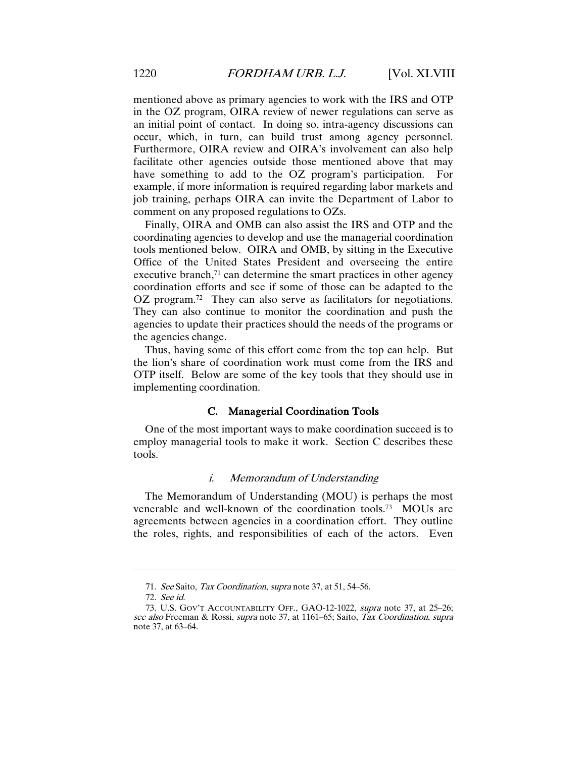mentioned above as primary agencies to work with the IRS and OTP in the OZ program, OIRA review of newer regulations can serve as an initial point of contact. In doing so, intra-agency discussions can occur, which, in turn, can build trust among agency personnel. Furthermore, OIRA review and OIRA's involvement can also help facilitate other agencies outside those mentioned above that may have something to add to the OZ program's participation. For example, if more information is required regarding labor markets and job training, perhaps OIRA can invite the Department of Labor to comment on any proposed regulations to OZs.

Finally, OIRA and OMB can also assist the IRS and OTP and the coordinating agencies to develop and use the managerial coordination tools mentioned below. OIRA and OMB, by sitting in the Executive Office of the United States President and overseeing the entire executive branch,<sup>71</sup> can determine the smart practices in other agency coordination efforts and see if some of those can be adapted to the OZ program. 72 They can also serve as facilitators for negotiations. They can also continue to monitor the coordination and push the agencies to update their practices should the needs of the programs or the agencies change.

Thus, having some of this effort come from the top can help. But the lion's share of coordination work must come from the IRS and OTP itself. Below are some of the key tools that they should use in implementing coordination.

## C. Managerial Coordination Tools

One of the most important ways to make coordination succeed is to employ managerial tools to make it work. Section C describes these tools.

# i. Memorandum of Understanding

The Memorandum of Understanding (MOU) is perhaps the most venerable and well-known of the coordination tools.73 MOUs are agreements between agencies in a coordination effort. They outline the roles, rights, and responsibilities of each of the actors. Even

<sup>71.</sup> See Saito, Tax Coordination, supra note 37, at 51, 54–56.

<sup>72</sup>. See id.

<sup>73.</sup> U.S. GOV'T ACCOUNTABILITY OFF., GAO-12-1022, supra note 37, at 25–26; see also Freeman & Rossi, supra note 37, at 1161–65; Saito, Tax Coordination, supra note 37, at 63–64.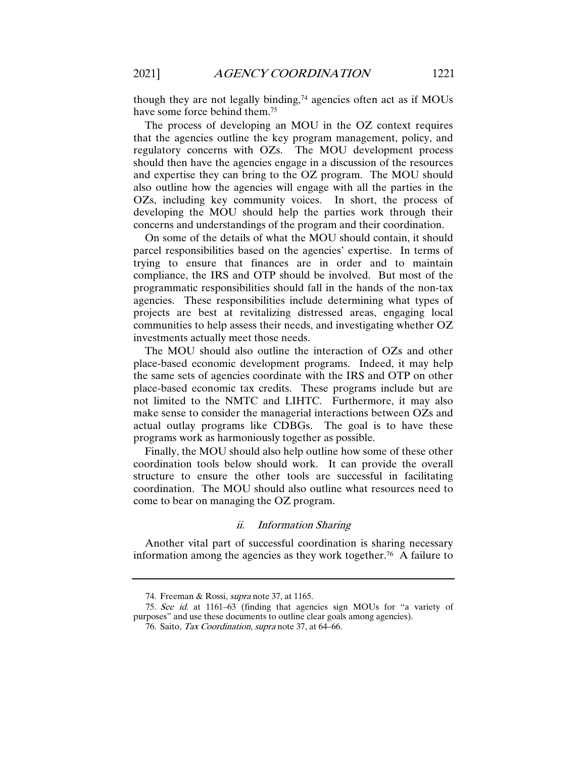though they are not legally binding, $74$  agencies often act as if MOUs have some force behind them.75

The process of developing an MOU in the OZ context requires that the agencies outline the key program management, policy, and regulatory concerns with OZs. The MOU development process should then have the agencies engage in a discussion of the resources and expertise they can bring to the OZ program. The MOU should also outline how the agencies will engage with all the parties in the OZs, including key community voices. In short, the process of developing the MOU should help the parties work through their concerns and understandings of the program and their coordination.

On some of the details of what the MOU should contain, it should parcel responsibilities based on the agencies' expertise. In terms of trying to ensure that finances are in order and to maintain compliance, the IRS and OTP should be involved. But most of the programmatic responsibilities should fall in the hands of the non-tax agencies. These responsibilities include determining what types of projects are best at revitalizing distressed areas, engaging local communities to help assess their needs, and investigating whether OZ investments actually meet those needs.

The MOU should also outline the interaction of OZs and other place-based economic development programs. Indeed, it may help the same sets of agencies coordinate with the IRS and OTP on other place-based economic tax credits. These programs include but are not limited to the NMTC and LIHTC. Furthermore, it may also make sense to consider the managerial interactions between OZs and actual outlay programs like CDBGs. The goal is to have these programs work as harmoniously together as possible.

Finally, the MOU should also help outline how some of these other coordination tools below should work. It can provide the overall structure to ensure the other tools are successful in facilitating coordination. The MOU should also outline what resources need to come to bear on managing the OZ program.

#### ii. Information Sharing

Another vital part of successful coordination is sharing necessary information among the agencies as they work together.76 A failure to

<sup>74.</sup> Freeman & Rossi, supra note 37, at 1165.

<sup>75</sup>. See id. at 1161–63 (finding that agencies sign MOUs for "a variety of purposes" and use these documents to outline clear goals among agencies).

<sup>76.</sup> Saito, Tax Coordination, supra note 37, at 64–66.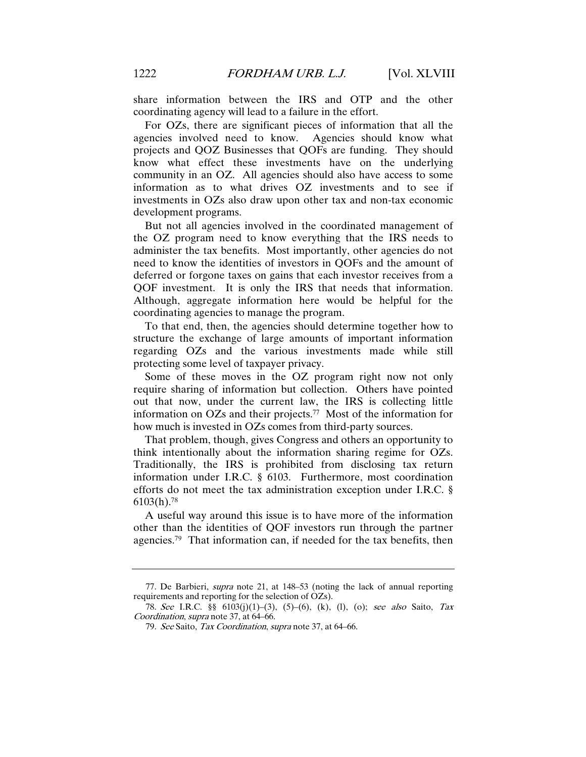share information between the IRS and OTP and the other coordinating agency will lead to a failure in the effort.

For OZs, there are significant pieces of information that all the agencies involved need to know. Agencies should know what projects and QOZ Businesses that QOFs are funding. They should know what effect these investments have on the underlying community in an OZ. All agencies should also have access to some information as to what drives OZ investments and to see if investments in OZs also draw upon other tax and non-tax economic development programs.

But not all agencies involved in the coordinated management of the OZ program need to know everything that the IRS needs to administer the tax benefits. Most importantly, other agencies do not need to know the identities of investors in QOFs and the amount of deferred or forgone taxes on gains that each investor receives from a QOF investment. It is only the IRS that needs that information. Although, aggregate information here would be helpful for the coordinating agencies to manage the program.

To that end, then, the agencies should determine together how to structure the exchange of large amounts of important information regarding OZs and the various investments made while still protecting some level of taxpayer privacy.

Some of these moves in the OZ program right now not only require sharing of information but collection. Others have pointed out that now, under the current law, the IRS is collecting little information on OZs and their projects.77 Most of the information for how much is invested in OZs comes from third-party sources.

That problem, though, gives Congress and others an opportunity to think intentionally about the information sharing regime for OZs. Traditionally, the IRS is prohibited from disclosing tax return information under I.R.C. § 6103. Furthermore, most coordination efforts do not meet the tax administration exception under I.R.C. §  $6103(h).$ <sup>78</sup>

A useful way around this issue is to have more of the information other than the identities of QOF investors run through the partner agencies.79 That information can, if needed for the tax benefits, then

<sup>77</sup>. De Barbieri, supra note 21, at 148–53 (noting the lack of annual reporting requirements and reporting for the selection of OZs).

<sup>78</sup>. See I.R.C. §§ 6103(j)(1)–(3), (5)–(6), (k), (l), (o); see also Saito, Tax Coordination, supra note 37, at 64–66.

<sup>79</sup>. See Saito, Tax Coordination, supra note 37, at 64–66.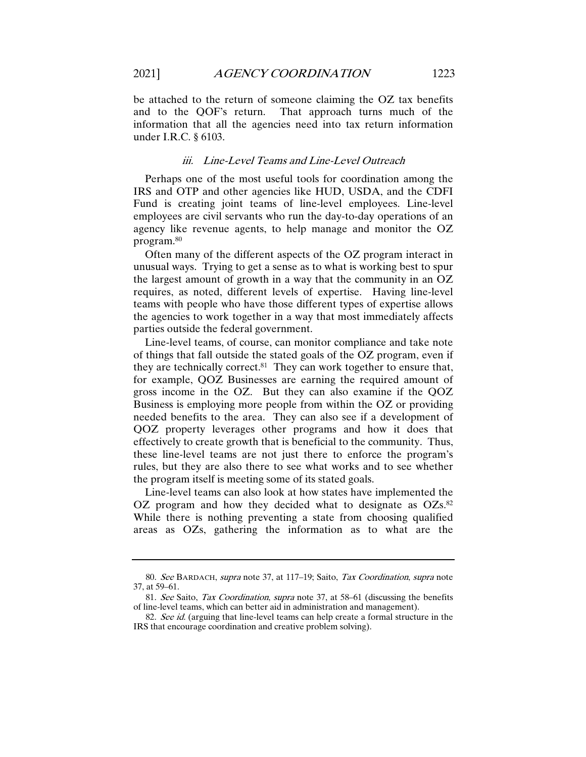That approach turns much of the information that all the agencies need into tax return information under I.R.C. § 6103.

#### iii. Line-Level Teams and Line-Level Outreach

Perhaps one of the most useful tools for coordination among the IRS and OTP and other agencies like HUD, USDA, and the CDFI Fund is creating joint teams of line-level employees. Line-level employees are civil servants who run the day-to-day operations of an agency like revenue agents, to help manage and monitor the OZ program.80

Often many of the different aspects of the OZ program interact in unusual ways. Trying to get a sense as to what is working best to spur the largest amount of growth in a way that the community in an OZ requires, as noted, different levels of expertise. Having line-level teams with people who have those different types of expertise allows the agencies to work together in a way that most immediately affects parties outside the federal government.

Line-level teams, of course, can monitor compliance and take note of things that fall outside the stated goals of the OZ program, even if they are technically correct. $81$  They can work together to ensure that, for example, QOZ Businesses are earning the required amount of gross income in the OZ. But they can also examine if the QOZ Business is employing more people from within the OZ or providing needed benefits to the area. They can also see if a development of QOZ property leverages other programs and how it does that effectively to create growth that is beneficial to the community. Thus, these line-level teams are not just there to enforce the program's rules, but they are also there to see what works and to see whether the program itself is meeting some of its stated goals.

Line-level teams can also look at how states have implemented the OZ program and how they decided what to designate as  $OZs$ .<sup>82</sup> While there is nothing preventing a state from choosing qualified areas as OZs, gathering the information as to what are the

<sup>80</sup>. See BARDACH, supra note 37, at 117–19; Saito, Tax Coordination, supra note 37, at 59–61.

<sup>81</sup>. See Saito, Tax Coordination, supra note 37, at 58–61 (discussing the benefits of line-level teams, which can better aid in administration and management).

<sup>82.</sup> See id. (arguing that line-level teams can help create a formal structure in the IRS that encourage coordination and creative problem solving).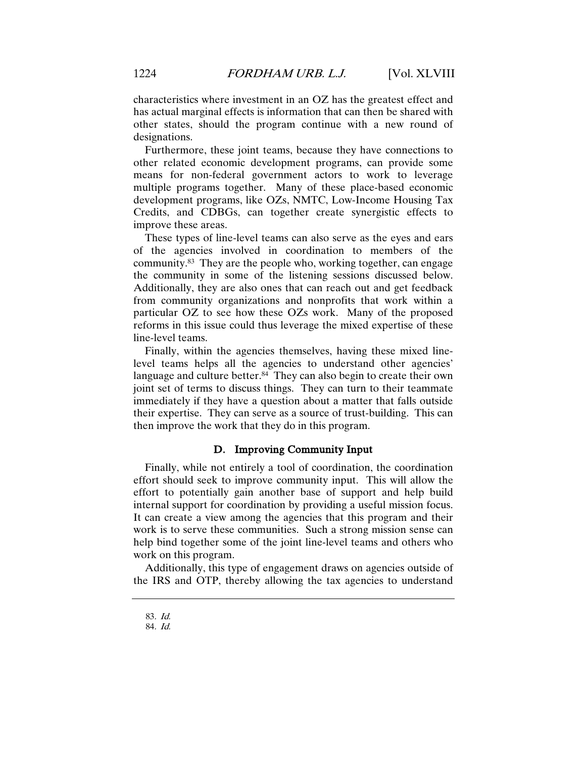characteristics where investment in an OZ has the greatest effect and has actual marginal effects is information that can then be shared with other states, should the program continue with a new round of designations.

Furthermore, these joint teams, because they have connections to other related economic development programs, can provide some means for non-federal government actors to work to leverage multiple programs together. Many of these place-based economic development programs, like OZs, NMTC, Low-Income Housing Tax Credits, and CDBGs, can together create synergistic effects to improve these areas.

These types of line-level teams can also serve as the eyes and ears of the agencies involved in coordination to members of the community.83 They are the people who, working together, can engage the community in some of the listening sessions discussed below. Additionally, they are also ones that can reach out and get feedback from community organizations and nonprofits that work within a particular OZ to see how these OZs work. Many of the proposed reforms in this issue could thus leverage the mixed expertise of these line-level teams.

Finally, within the agencies themselves, having these mixed linelevel teams helps all the agencies to understand other agencies' language and culture better.<sup>84</sup> They can also begin to create their own joint set of terms to discuss things. They can turn to their teammate immediately if they have a question about a matter that falls outside their expertise. They can serve as a source of trust-building. This can then improve the work that they do in this program.

# D. Improving Community Input

Finally, while not entirely a tool of coordination, the coordination effort should seek to improve community input. This will allow the effort to potentially gain another base of support and help build internal support for coordination by providing a useful mission focus. It can create a view among the agencies that this program and their work is to serve these communities. Such a strong mission sense can help bind together some of the joint line-level teams and others who work on this program.

Additionally, this type of engagement draws on agencies outside of the IRS and OTP, thereby allowing the tax agencies to understand

<sup>83</sup>. Id.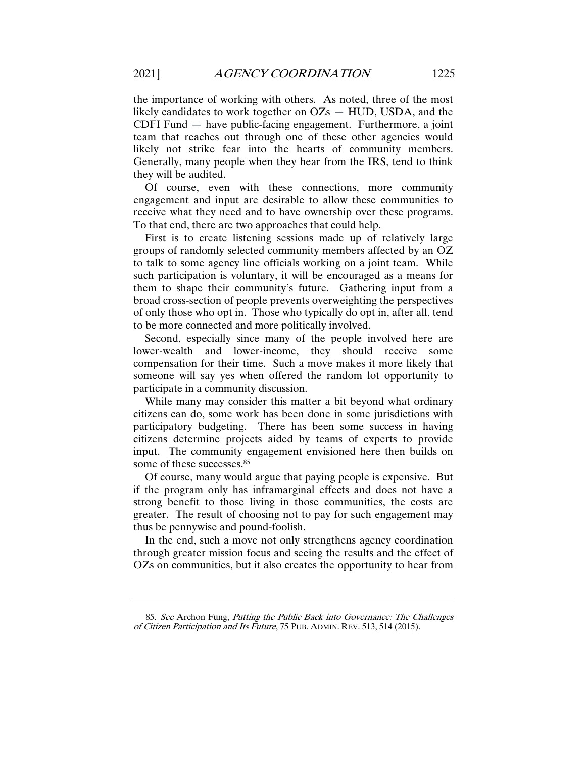the importance of working with others. As noted, three of the most likely candidates to work together on OZs — HUD, USDA, and the CDFI Fund — have public-facing engagement. Furthermore, a joint team that reaches out through one of these other agencies would likely not strike fear into the hearts of community members. Generally, many people when they hear from the IRS, tend to think they will be audited.

Of course, even with these connections, more community engagement and input are desirable to allow these communities to receive what they need and to have ownership over these programs. To that end, there are two approaches that could help.

First is to create listening sessions made up of relatively large groups of randomly selected community members affected by an OZ to talk to some agency line officials working on a joint team. While such participation is voluntary, it will be encouraged as a means for them to shape their community's future. Gathering input from a broad cross-section of people prevents overweighting the perspectives of only those who opt in. Those who typically do opt in, after all, tend to be more connected and more politically involved.

Second, especially since many of the people involved here are lower-wealth and lower-income, they should receive some compensation for their time. Such a move makes it more likely that someone will say yes when offered the random lot opportunity to participate in a community discussion.

While many may consider this matter a bit beyond what ordinary citizens can do, some work has been done in some jurisdictions with participatory budgeting. There has been some success in having citizens determine projects aided by teams of experts to provide input. The community engagement envisioned here then builds on some of these successes.<sup>85</sup>

Of course, many would argue that paying people is expensive. But if the program only has inframarginal effects and does not have a strong benefit to those living in those communities, the costs are greater. The result of choosing not to pay for such engagement may thus be pennywise and pound-foolish.

In the end, such a move not only strengthens agency coordination through greater mission focus and seeing the results and the effect of OZs on communities, but it also creates the opportunity to hear from

<sup>85</sup>. See Archon Fung, Putting the Public Back into Governance: The Challenges of Citizen Participation and Its Future, 75 PUB. ADMIN. REV. 513, 514 (2015).